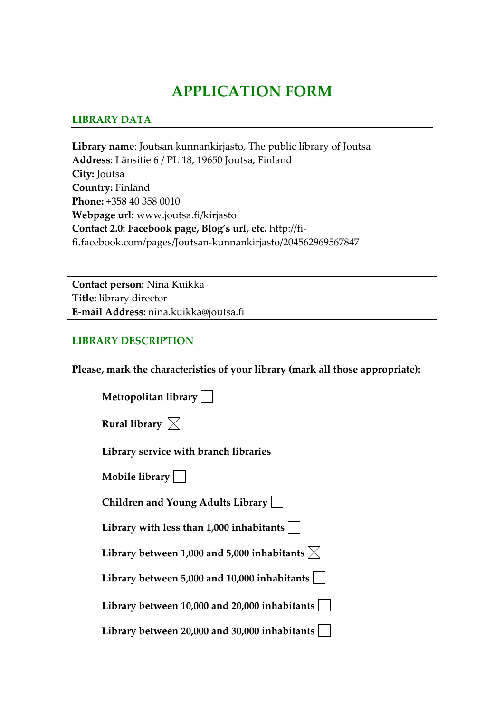# **APPLICATION FORM**

### **LIBRARY DATA**

**Library name**: Joutsan kunnankirjasto, The public library of Joutsa **Address**: Länsitie 6 / PL 18, 19650 Joutsa, Finland **City:** Joutsa **Country:** Finland **Phone:** +358 40 358 0010 **Webpage url:** www.joutsa.fi/kirjasto **Contact 2.0: Facebook page, Blog's url, etc.** http://fi‐ fi.facebook.com/pages/Joutsan‐kunnankirjasto/204562969567847

**Contact person:** Nina Kuikka **Title:** library director **E‐mail Address:** nina.kuikka@joutsa.fi

#### **LIBRARY DESCRIPTION**

**Please, mark the characteristics of your library (mark all those appropriate):**

| Metropolitan library                                               |
|--------------------------------------------------------------------|
| Rural library $\boxtimes$                                          |
| Library service with branch libraries                              |
| Mobile library                                                     |
| Children and Young Adults Library                                  |
| Library with less than $1,000$ inhabitants $ $                     |
| Library between 1,000 and 5,000 inhabitants $\vert\mathbf{x}\vert$ |
| Library between 5,000 and 10,000 inhabitants                       |
| Library between 10,000 and 20,000 inhabitants                      |
| Library between 20,000 and 30,000 inhabitants                      |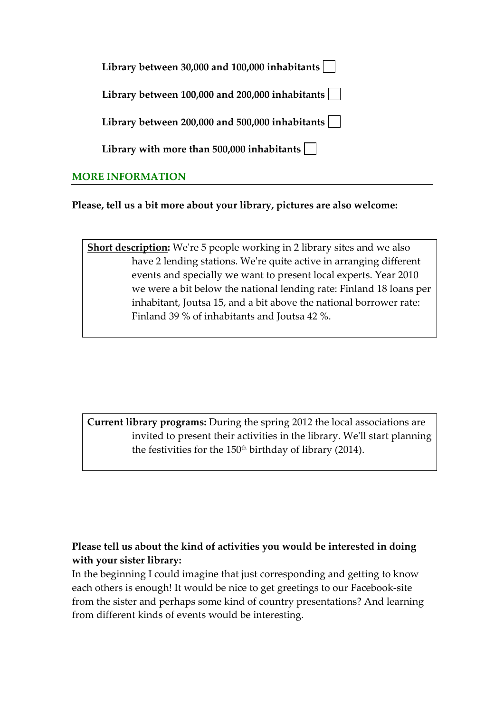| Library between 30,000 and 100,000 inhabitants $\vert \ \ \vert$      |
|-----------------------------------------------------------------------|
| Library between $100,000$ and $200,000$ inhabitants $\vert \ \ \vert$ |
| Library between 200,000 and 500,000 inhabitants $\vert \ \ \vert$     |
| Library with more than 500,000 inhabitants $\vert \ \ \vert$          |
|                                                                       |

# **MORE INFORMATION**

**Please, tell us a bit more about your library, pictures are also welcome:** 

**Short description:** We're 5 people working in 2 library sites and we also have 2 lending stations. Weʹre quite active in arranging different events and specially we want to present local experts. Year 2010 we were a bit below the national lending rate: Finland 18 loans per inhabitant, Joutsa 15, and a bit above the national borrower rate: Finland 39 % of inhabitants and Joutsa 42 %.

**Current library programs:** During the spring 2012 the local associations are invited to present their activities in the library. Weʹll start planning the festivities for the 150<sup>th</sup> birthday of library (2014).

# **Please tell us about the kind of activities you would be interested in doing with your sister library:**

In the beginning I could imagine that just corresponding and getting to know each others is enough! It would be nice to get greetings to our Facebook‐site from the sister and perhaps some kind of country presentations? And learning from different kinds of events would be interesting.